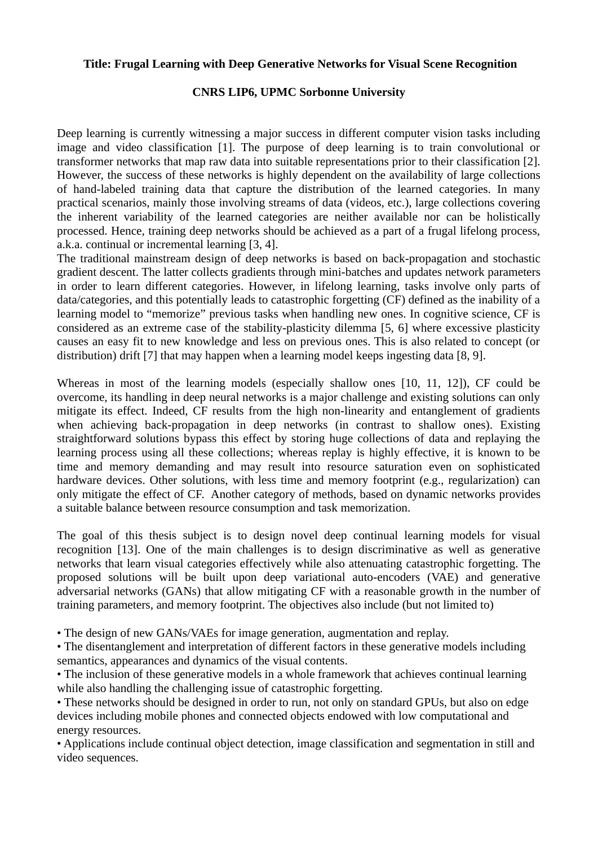## **Title: Frugal Learning with Deep Generative Networks for Visual Scene Recognition**

## **CNRS LIP6, UPMC Sorbonne University**

Deep learning is currently witnessing a major success in different computer vision tasks including image and video classification [1]. The purpose of deep learning is to train convolutional or transformer networks that map raw data into suitable representations prior to their classification [2]. However, the success of these networks is highly dependent on the availability of large collections of hand-labeled training data that capture the distribution of the learned categories. In many practical scenarios, mainly those involving streams of data (videos, etc.), large collections covering the inherent variability of the learned categories are neither available nor can be holistically processed. Hence, training deep networks should be achieved as a part of a frugal lifelong process, a.k.a. continual or incremental learning [3, 4].

The traditional mainstream design of deep networks is based on back-propagation and stochastic gradient descent. The latter collects gradients through mini-batches and updates network parameters in order to learn different categories. However, in lifelong learning, tasks involve only parts of data/categories, and this potentially leads to catastrophic forgetting (CF) defined as the inability of a learning model to "memorize" previous tasks when handling new ones. In cognitive science, CF is considered as an extreme case of the stability-plasticity dilemma [5, 6] where excessive plasticity causes an easy fit to new knowledge and less on previous ones. This is also related to concept (or distribution) drift [7] that may happen when a learning model keeps ingesting data [8, 9].

Whereas in most of the learning models (especially shallow ones [10, 11, 12]), CF could be overcome, its handling in deep neural networks is a major challenge and existing solutions can only mitigate its effect. Indeed, CF results from the high non-linearity and entanglement of gradients when achieving back-propagation in deep networks (in contrast to shallow ones). Existing straightforward solutions bypass this effect by storing huge collections of data and replaying the learning process using all these collections; whereas replay is highly effective, it is known to be time and memory demanding and may result into resource saturation even on sophisticated hardware devices. Other solutions, with less time and memory footprint (e.g., regularization) can only mitigate the effect of CF. Another category of methods, based on dynamic networks provides a suitable balance between resource consumption and task memorization.

The goal of this thesis subject is to design novel deep continual learning models for visual recognition [13]. One of the main challenges is to design discriminative as well as generative networks that learn visual categories effectively while also attenuating catastrophic forgetting. The proposed solutions will be built upon deep variational auto-encoders (VAE) and generative adversarial networks (GANs) that allow mitigating CF with a reasonable growth in the number of training parameters, and memory footprint. The objectives also include (but not limited to)

• The design of new GANs/VAEs for image generation, augmentation and replay.

• The disentanglement and interpretation of different factors in these generative models including semantics, appearances and dynamics of the visual contents.

• The inclusion of these generative models in a whole framework that achieves continual learning while also handling the challenging issue of catastrophic forgetting.

• These networks should be designed in order to run, not only on standard GPUs, but also on edge devices including mobile phones and connected objects endowed with low computational and energy resources.

• Applications include continual object detection, image classification and segmentation in still and video sequences.